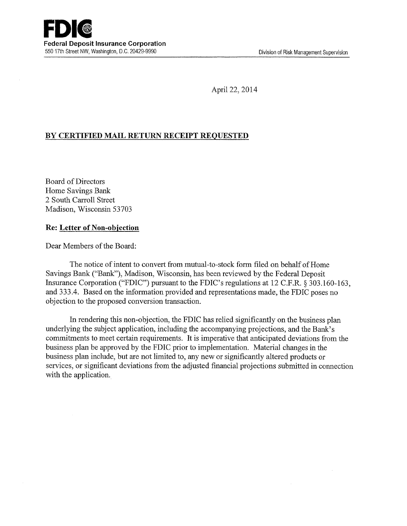April 22, 2014

## **BY CERTIFIED MAIL RETURN RECEIPT REQUESTED**

Board of Directors Home Savings Bank 2 South Carroll Street Madison, Wisconsin 53703

## **Re: Letter of Non-objection**

Dear Members of the Board:

The notice of intent to convert from mutual-to-stock form filed on behalf of Home Savings Bank ("Bank"), Madison, Wisconsin, has been reviewed by the Federal Deposit Insurance Corporation ("FDIC") pursuant to the FDIC's regulations at 12 C.F.R. § 303.160-163, and 333.4. Based on the information provided and representations made, the FDIC poses no objection to the proposed conversion transaction.

In rendering this non-objection, the FDIC has relied significantly on the business plan underlying the subject application, including the accompanying projections, and the Bank's commitments to meet certain requirements. It is imperative that anticipated deviations from the business plan be approved by the FDIC prior to implementation. Material changes in the business plan include, but are not limited to, any new or significantly altered products or services, or significant deviations from the adjusted fmancial projections submitted in connection with the application.